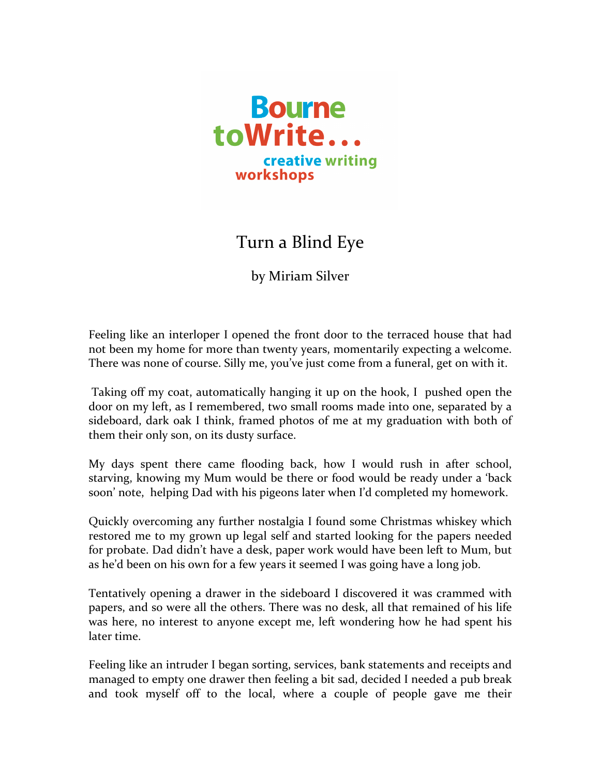

## Turn a Blind Eye

by Miriam Silver

Feeling like an interloper I opened the front door to the terraced house that had not been my home for more than twenty years, momentarily expecting a welcome. There was none of course. Silly me, you've just come from a funeral, get on with it.

Taking off my coat, automatically hanging it up on the hook, I pushed open the door on my left, as I remembered, two small rooms made into one, separated by a sideboard, dark oak I think, framed photos of me at my graduation with both of them their only son, on its dusty surface.

My days spent there came flooding back, how I would rush in after school, starving, knowing my Mum would be there or food would be ready under a 'back soon' note, helping Dad with his pigeons later when I'd completed my homework.

Quickly overcoming any further nostalgia I found some Christmas whiskey which restored me to my grown up legal self and started looking for the papers needed for probate. Dad didn't have a desk, paper work would have been left to Mum, but as he'd been on his own for a few years it seemed I was going have a long job.

Tentatively opening a drawer in the sideboard I discovered it was crammed with papers, and so were all the others. There was no desk, all that remained of his life was here, no interest to anyone except me, left wondering how he had spent his later time.

Feeling like an intruder I began sorting, services, bank statements and receipts and managed to empty one drawer then feeling a bit sad, decided I needed a pub break and took myself off to the local, where a couple of people gave me their